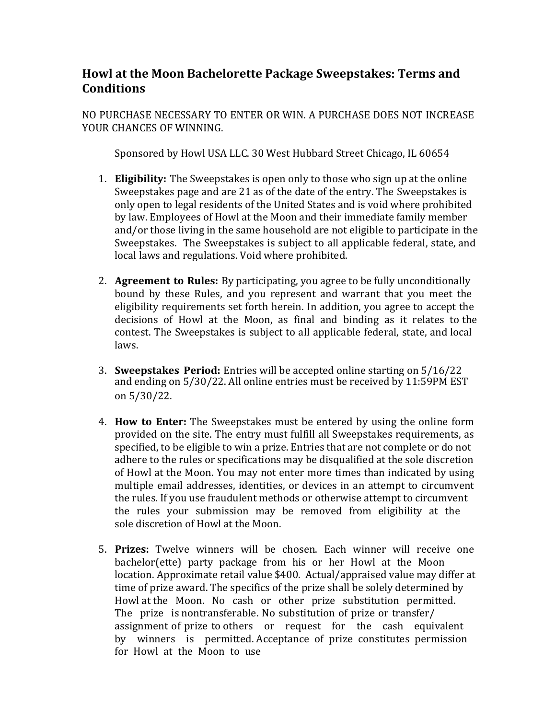## **Howl at the Moon Bachelorette Package Sweepstakes: Terms and Conditions**

NO PURCHASE NECESSARY TO ENTER OR WIN. A PURCHASE DOES NOT INCREASE YOUR CHANCES OF WINNING.

Sponsored by Howl USA LLC. 30 West Hubbard Street Chicago, IL 60654

- 1. **Eligibility:** The Sweepstakes is open only to those who sign up at the online Sweepstakes page and are 21 as of the date of the entry. The Sweepstakes is only open to legal residents of the United States and is void where prohibited by law. Employees of Howl at the Moon and their immediate family member and/or those living in the same household are not eligible to participate in the Sweepstakes. The Sweepstakes is subject to all applicable federal, state, and local laws and regulations. Void where prohibited.
- 2. **Agreement to Rules:** By participating, you agree to be fully unconditionally bound by these Rules, and you represent and warrant that you meet the eligibility requirements set forth herein. In addition, you agree to accept the decisions of Howl at the Moon, as final and binding as it relates to the contest. The Sweepstakes is subject to all applicable federal, state, and local laws.
- 3. **Sweepstakes Period:** Entries will be accepted online starting on 5/16/22 and ending on 5/30/22. All online entries must be received by 11:59PM EST on 5/30/22.
- 4. **How to Enter:** The Sweepstakes must be entered by using the online form provided on the site. The entry must fulfill all Sweepstakes requirements, as specified, to be eligible to win a prize. Entries that are not complete or do not adhere to the rules or specifications may be disqualified at the sole discretion of Howl at the Moon. You may not enter more times than indicated by using multiple email addresses, identities, or devices in an attempt to circumvent the rules. If you use fraudulent methods or otherwise attempt to circumvent the rules your submission may be removed from eligibility at the sole discretion of Howl at the Moon.
- 5. **Prizes:** Twelve winners will be chosen. Each winner will receive one bachelor(ette) party package from his or her Howl at the Moon location. Approximate retail value \$400. Actual/appraised value may differ at time of prize award. The specifics of the prize shall be solely determined by Howl at the Moon. No cash or other prize substitution permitted. The prize is nontransferable. No substitution of prize or transfer/ assignment of prize to others or request for the cash equivalent by winners is permitted. Acceptance of prize constitutes permission for Howl at the Moon to use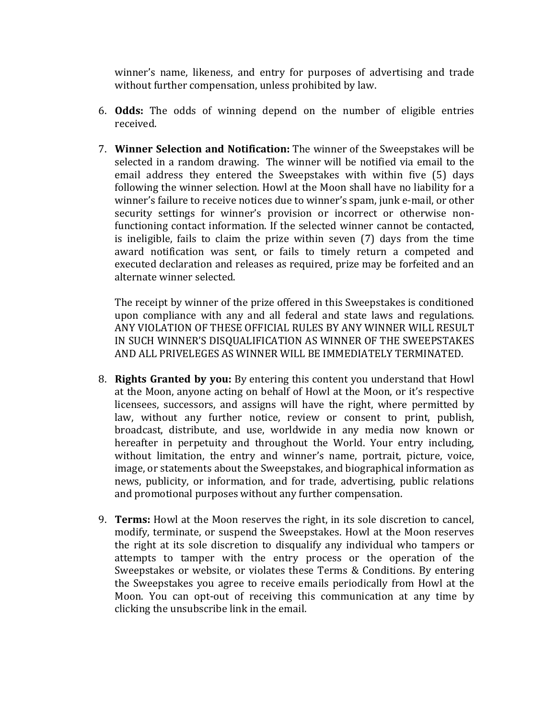winner's name, likeness, and entry for purposes of advertising and trade without further compensation, unless prohibited by law.

- 6. **Odds:** The odds of winning depend on the number of eligible entries received.
- 7. **Winner Selection and Notification:** The winner of the Sweepstakes will be selected in a random drawing. The winner will be notified via email to the email address they entered the Sweepstakes with within five (5) days following the winner selection. Howl at the Moon shall have no liability for a winner's failure to receive notices due to winner's spam, junk e-mail, or other security settings for winner's provision or incorrect or otherwise nonfunctioning contact information. If the selected winner cannot be contacted, is ineligible, fails to claim the prize within seven  $(7)$  days from the time award notification was sent, or fails to timely return a competed and executed declaration and releases as required, prize may be forfeited and an alternate winner selected.

The receipt by winner of the prize offered in this Sweepstakes is conditioned upon compliance with any and all federal and state laws and regulations. ANY VIOLATION OF THESE OFFICIAL RULES BY ANY WINNER WILL RESULT IN SUCH WINNER'S DISOUALIFICATION AS WINNER OF THE SWEEPSTAKES AND ALL PRIVELEGES AS WINNER WILL BE IMMEDIATELY TERMINATED.

- 8. **Rights Granted by you:** By entering this content you understand that Howl at the Moon, anyone acting on behalf of Howl at the Moon, or it's respective licensees, successors, and assigns will have the right, where permitted by law, without any further notice, review or consent to print, publish, broadcast, distribute, and use, worldwide in any media now known or hereafter in perpetuity and throughout the World. Your entry including, without limitation, the entry and winner's name, portrait, picture, voice, image, or statements about the Sweepstakes, and biographical information as news, publicity, or information, and for trade, advertising, public relations and promotional purposes without any further compensation.
- 9. **Terms:** Howl at the Moon reserves the right, in its sole discretion to cancel, modify, terminate, or suspend the Sweepstakes. Howl at the Moon reserves the right at its sole discretion to disqualify any individual who tampers or attempts to tamper with the entry process or the operation of the Sweepstakes or website, or violates these Terms & Conditions. By entering the Sweepstakes you agree to receive emails periodically from Howl at the Moon. You can opt-out of receiving this communication at any time by clicking the unsubscribe link in the email.